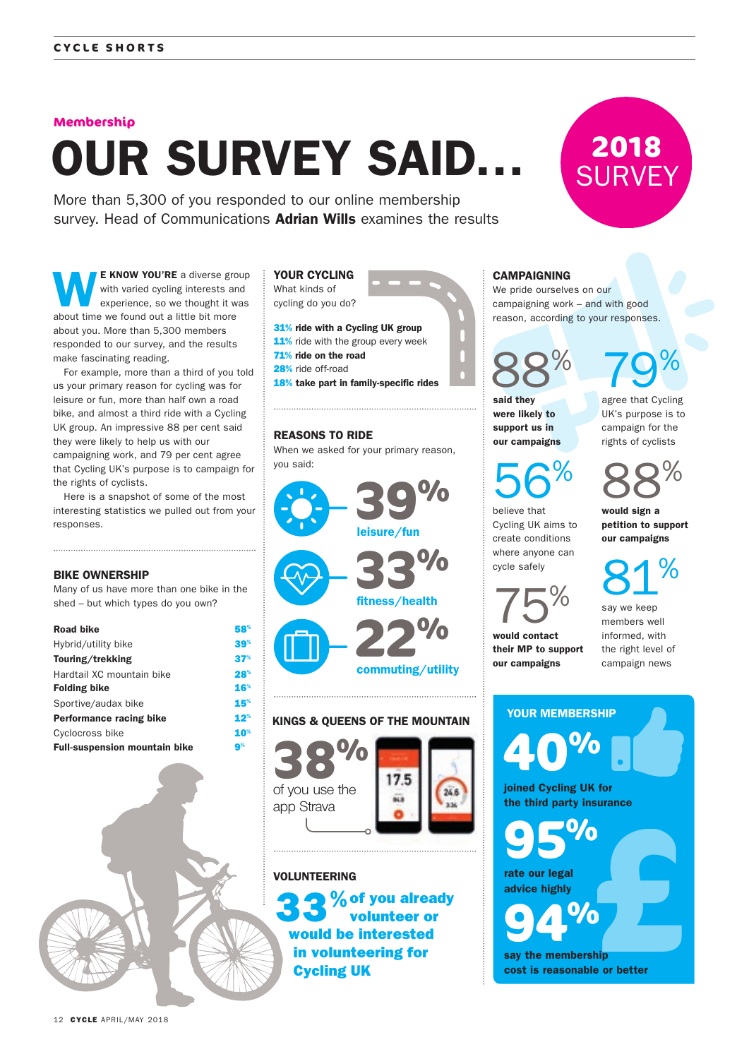#### **Membership**

# OUR SURVEY SAID…

More than 5,300 of you responded to our online membership survey. Head of Communications **Adrian Wills** examines the results

E KNOW YOU'RE a diverse group with varied cycling interests and experience, so we thought it was about time we found out a little bit more about you. More than 5,300 members responded to our survey, and the results make fascinating reading.

For example, more than a third of you told us your primary reason for cycling was for leisure or fun, more than half own a road bike, and almost a third ride with a Cycling UK group. An impressive 88 per cent said they were likely to help us with our campaigning work, and 79 per cent agree that Cycling UK's purpose is to campaign for the rights of cyclists.

Here is a snapshot of some of the most interesting statistics we pulled out from your responses.

#### BIKE OWNERSHIP

Many of us have more than one bike in the shed – but which types do you own?

| <b>Road bike</b>                     | 58 <sup>%</sup>        |
|--------------------------------------|------------------------|
| Hybrid/utility bike                  | 39 <sup>%</sup>        |
| Touring/trekking                     | 37 <sup>%</sup>        |
| Hardtail XC mountain bike            | $28^{\circ}$           |
| <b>Folding bike</b>                  | 16 <sup>%</sup>        |
| Sportive/audax bike                  | 15 <sup>%</sup>        |
| Performance racing bike              | $12^{\circ}$           |
| Cyclocross bike                      | <b>10</b> <sup>%</sup> |
| <b>Full-suspension mountain bike</b> | 9%                     |



31% ride with a Cycling UK group 11% ride with the group every week 71% ride on the road 28% ride off-road 18% take part in family-specific rides

#### REASONS TO RIDE

When we asked for your primary reason, you said:



#### KINGS & QUEENS OF THE MOUNTAIN





### VOLUNTEERING

 $\%$  of you already volunteer or would be interested in volunteering for Cycling UK

# **CAMPAIGNING**

We pride ourselves on our campaigning work – and with good reason, according to your responses.

88%

said they were likely to support us in our campaigns

56%

79% agree that Cycling UK's purpose is to campaign for the rights of cyclists

**2018**

**SURVEY** 

88%

would sign a petition to support our campaigns

81%

believe that Cycling UK aims to create conditions where anyone can cycle safely

75%

their MP to support

members well informed, with the right level of campaign news

say we keep

would contact our campaigns

> YOUR MEMBERSHIP **40%** joined Cycling UK for the third party insurance **95% %**

rate our legal advice highly

**94% Example or better** say the membership cost is reasonable or better